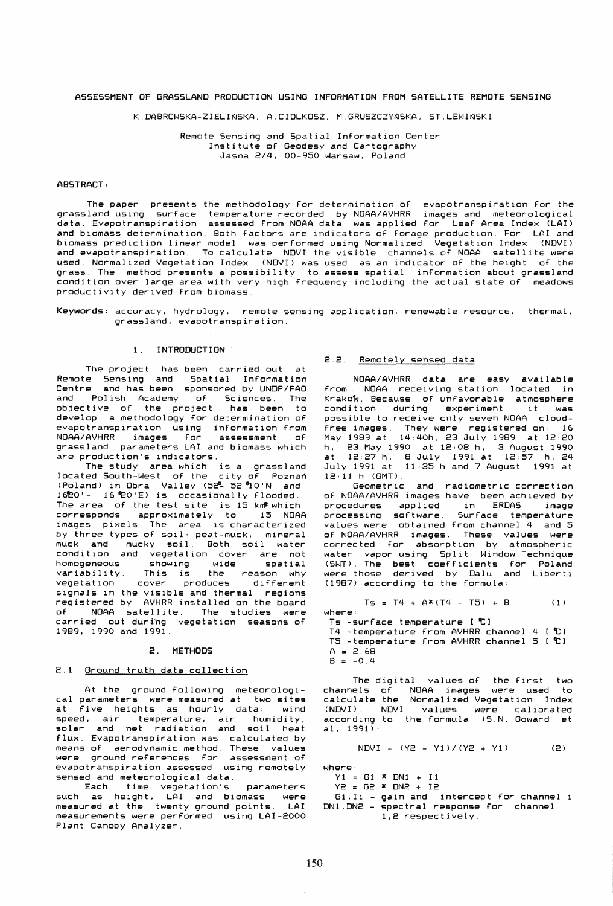## ASSESSMENT OF GRASSLAND PRODUCTION USING INFORMATION FROM SATELLITE REMOTE SENSING

K.DABROWSKA-ZIELINSKA. A.CIOLKOSZ. M.GRUSZCZYNSKA. ST.LEWINSKI

Remote Sensing and Spatial Information Center Institute of Geodesy and Cartography Jasna *2/4.* 00-950 Warsaw. Poland

### ABSTRACT:

The paper presents the methodology for determination of evapotranspiration for the grassland using surface temperature recorded by NOAA/AVHRR images and meteorological data. Evapotranspiration assessed from NOAA data was applied for Leaf Area Index (LAI) and biomass determination. 80th factors are indicators of forage production. For LAI and biomass prediction linear model was performed using Normalized Vegetation Index (NDVI) and evapotranspiration. To calculate NDVI the visible channels of NOAA satellite were used. Normalized Vegetation Index (NDVI) was used as an indicator of the height of the grass. The method presents a possibility to assess spatial information about grassland condition over large area with very high frequency including the actual state of meadows productivity derived from biomass.

Keywords: accuracy. hydrology. remote sensing application. renewable resource. thermal. grassland. evapotranspiration.

# 1. INTRODUCTION

The project has been carried out at Remote Sensing and Spatial Information Centre and has been sponsored by UNDP/FAO and Polish Academy of Sciences. The objective of the project has been to develop a methodology for determination of evapotranspiration using information from NOAA/AVHRR images for assessment of grassland parameters LAI and biomass which are production's indicators.

The study area which is a grassland located South-West of the city of Poznan (Poland) in Obra Valley (52<sup>0</sup> 52 °O'N and 16'eO'- 16-EO'E) is occasionally flooded. The area of the test site is 15 km<sup>2</sup> which corresponds approximately to 15 NOAA images pixels. The area is characterized by three types of soil: peat-muck. mineral muck and mucky soil. Both soil water condition and vegetation cover are not homogeneous showing wide spatial variability. This is the reason why vegetation cover produces different vegetation cover produces different<br>signals in the visible and thermal regions registered by AVHRR installed on the board NOAA satellite. The studies were carried out during vegetation seasons of 1989, 1990 and 1991.

## 2. METHODS

## 2.1 Ground truth data collection

At the ground following meteorological parameters were measured at two sites<br>at five heights as hourly data: wind at five heights as hourly data: speed, air temperature. air humidity, solar and net radiation and soil heat flux. Evapotranspiration was calculated by means of aerodynamic method. These values were ground references for assessment of evapotranspiration assessed using remotely sensed and meteorological data.

Each time vegetation's parameters such as height, LAI and biomass were measured at the twenty ground points. LAI measurements were performed using LAI-2000 Plant Canopy Analyzer.

## 2.2. Remotely sensed data

NOAA/AVHRR data are easy available<br>from NOAA receiving station located in NOAA receiving station located in Krakow. Because of unfavorable atmosphere conditlon during experiment it was possible to receive only seven NOAA cloudfree images. They were registered on: 16 May 1989 at 14:40h, 23 July 1989 at 12:20 h. 23 May 1990 at 12,08 h. 3 August 1990 at 12:27 h. 8 July 1991 at 12;57 h, 24 July 1991 at 11.35 hand 7 August 1991 at  $12:11$  h (GMT).

Geometric and radiometric correction of NOAA/AVHRR images have been achieved by procedures applied in ERDAS image ,<br>processing software. Surface temperature values were obtained from channel 4 and 5 of NOAA/AVHRR images. These values were corrected for absorption by atmospheric water vapor using Split Window Technique (SWT). The best coefficients for Poland were those derived by Oalu and Liberti (1987) according to the formula.

 $TS = T4 + A*(T4 - T5) + B$  (1)

where. Ts -surface temperature [~] T4 -temperature from AVHRR channel 4 [~) T5 -temperature from AVHRR channel 5 [~]  $A = 2.68$  $B = -0.4$ 

The digital values of the first two channels of NOAA images were used to calculate the Normalized Vegetation Index (NOVI). NOVI values were calibrated according to the formula (S.N. Goward et a!. 1991):

NDVI = 
$$
(YZ - Y1) / (YZ + Y1)
$$
 (2)

where;

 $Y1 = G1$  **\*** DN1 + I1

Y2 = G2 \* ON2 + 12  $Gi.Ii - gain$  and intercept for channel i ON1.0N2 - spectral response for channel 1,2 respectively.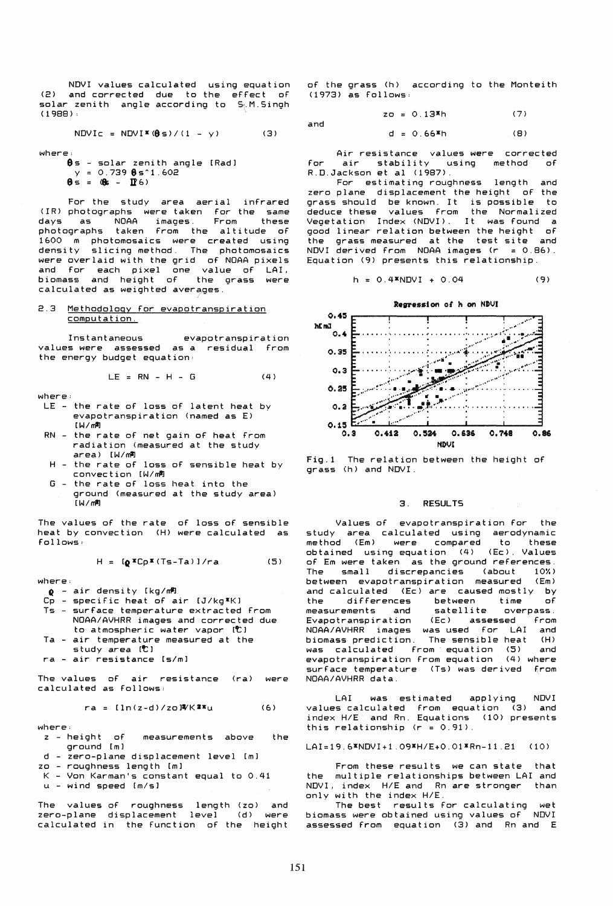NOVI values calculated using equation (2) and corrected due to the effect of solar zenith angle according to 5.M.Singh (1988) :

$$
NDVIC = NDVI*(\theta s)/(1 - y)
$$
 (3)

where:

.<br>**0**s - solar zenith angle [Rad]  $y = 0.73988$ s^1.602  $\theta$  s =  $(\theta$ s - If 6)

For the study area aerial infrared (IR) photographs were taken for the same days as NOAA images. From these days as NOAA images. From these<br>photographs taken from the altitude of 1&00 m photomosaics were created using density slicing method. The photomosaics were overlaid with the grid of NOAA pixels and for each pixel one value of LAI. biomass and height of the grass were calculated as weighted averages.

## 2.3 Methodology for evapotranspiration computation.

Instantaneous evapotranspiration values were assessed as a residual from the energy budget equation:

$$
LE = RN - H - G \qquad (4)
$$

where;

- LE the rate of loss of latent heat by evapotranspiration (named as E)  $[W/m^2]$
- RN the rate of net gain of heat from radiation (measured at the study area) [W/~
- H the rate of loss of sensible heat by convection [W/~
- the rate of loss heat into the ground (measured at the study area) *[W/m'l*

The values of the rate of loss of sensible heat by convection (H) were calculated as follows:

$$
H = [a * Cp * (Ts - Ta)]/ra \qquad (5)
$$

where:

- $Q$  air density [kg/m<sup>2</sup>]<br>Cp specific heat of a
- 
- $\overline{C}$  specific heat of air  $(J/\text{kg} \cdot \text{K})$ <br>Ts surface temperature extracted - surface temperature extracted from NOAA/AVHRR images and corrected due to atmospheric water vapor [<sup>0</sup>]
- Ta air temperature measured at the
- study area [<sup>t</sup>]
- ra air resistance [s/mJ

The values of air resistance (ra) were calculated as follows:

$$
ra = [ln(z-d)/z0]^{2}K^{2x}u
$$
 (6)

- where:<br>z height of  $measurements$   $above$  the  $q$ round  $[m]$
- $d$  zero-plane displacement level  $[m]$
- zo roughness length [m]
- K Von Karman's constant equal to 0.41
- u wind speed *[m/s1*

The values of roughness length (zo) and zero-plane displacement level (d) were calculated in the function of the height

of the grass (h) according to the Monteith (1973) as follows:

and

$$
z_0 = 0.13*h \tag{7}
$$

$$
d = 0.66
$$
<sup>\*</sup>h (B)

Air resistance values were corrected<br>air stability using method of for air stability R . 0 . J ac k son eta 1 (1 987) .

For estimating roughness length and zero plane displacement the height of the grass should be known. It is possible to deduce these values from the Normalized Vegetat ion Index (NOV!). It was found a ...<br>good linear relation between the height of<br>the grass measured at the test site and the grass measured at the test site NDVI derived from NOAA images  $(r = 0.86)$ . Equation (9) presents this relationship.

$$
h = 0.4 \times NDVI + 0.04
$$
 (9)



Fig.l The relation between the height of grass (h) and NOVI.

### 3. RESULTS

Values of evapotranspiration for the study area calculated using aerodynamic method (Em) were compared obtained using equation (4) (Ec). Values of Em were taken as the ground references.<br>The small discrepancies (about 10%) The small discrepancies (about between evapotranspiration measured (Em) and calculated (Ec) are caused mostly by differences between time of<br>ements and satellite overpass measurements and satellite overpass.<br>Evapotranspiration (Ec) assessed from Evapotranspiration NOAA/AVHRR images was used for LAI and biomass prediction. The sensible heat (H) was calculated from equation (5) and<br>evapotranspiration from equation (4) where evapotranspiration from equation (4) where<br>surface temperature (Ts) was derived from surface temperature (Ts) was derived NOAA/AVHRR data.

LAI was estimated applying NOVI values calculated from equation (3) and index HIE and Rn. Equations (10) presents this relationship  $(r = 0.91)$ .

LAI=19.6\*NDVI+1.09\*H/E+0.01\*Rn-11.21 (10)

From these results we can state that the multiple relationships between LAI and NDVI, index H/E and Rn are stronger than only with the index  $H/E$ .

The best results for calculating wet<br>ss were obtained using values of NDVI biomass were obtained using values of assessed from equation (3) and Rn and E